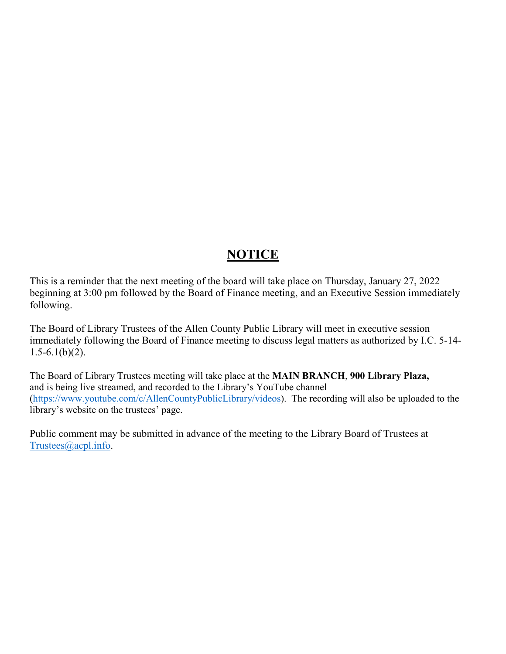## **NOTICE**

This is a reminder that the next meeting of the board will take place on Thursday, January 27, 2022 beginning at 3:00 pm followed by the Board of Finance meeting, and an Executive Session immediately following.

The Board of Library Trustees of the Allen County Public Library will meet in executive session immediately following the Board of Finance meeting to discuss legal matters as authorized by I.C. 5-14-  $1.5 - 6.1(b)(2)$ .

The Board of Library Trustees meeting will take place at the **MAIN BRANCH**, **900 Library Plaza,** and is being live streamed, and recorded to the Library's YouTube channel [\(https://www.youtube.com/c/AllenCountyPublicLibrary/videos\)](https://www.youtube.com/c/AllenCountyPublicLibrary/videos). The recording will also be uploaded to the library's website on the trustees' page.

Public comment may be submitted in advance of the meeting to the Library Board of Trustees at [Trustees@acpl.info.](mailto:Trustees@acpl.info)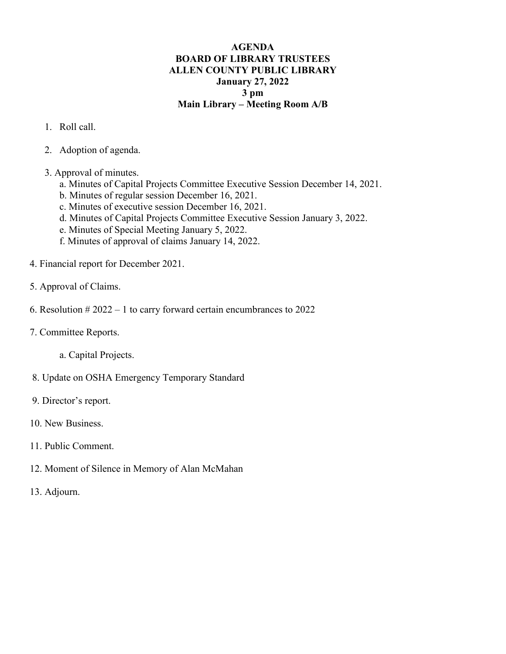## **AGENDA BOARD OF LIBRARY TRUSTEES ALLEN COUNTY PUBLIC LIBRARY January 27, 2022 3 pm Main Library – Meeting Room A/B**

- 1. Roll call.
- 2. Adoption of agenda.
- 3. Approval of minutes.
	- a. Minutes of Capital Projects Committee Executive Session December 14, 2021.
	- b. Minutes of regular session December 16, 2021.
	- c. Minutes of executive session December 16, 2021.
	- d. Minutes of Capital Projects Committee Executive Session January 3, 2022.
	- e. Minutes of Special Meeting January 5, 2022.
	- f. Minutes of approval of claims January 14, 2022.
- 4. Financial report for December 2021.
- 5. Approval of Claims.
- 6. Resolution  $#2022 1$  to carry forward certain encumbrances to 2022
- 7. Committee Reports.
	- a. Capital Projects.
- 8. Update on OSHA Emergency Temporary Standard
- 9. Director's report.
- 10. New Business.
- 11. Public Comment.
- 12. Moment of Silence in Memory of Alan McMahan
- 13. Adjourn.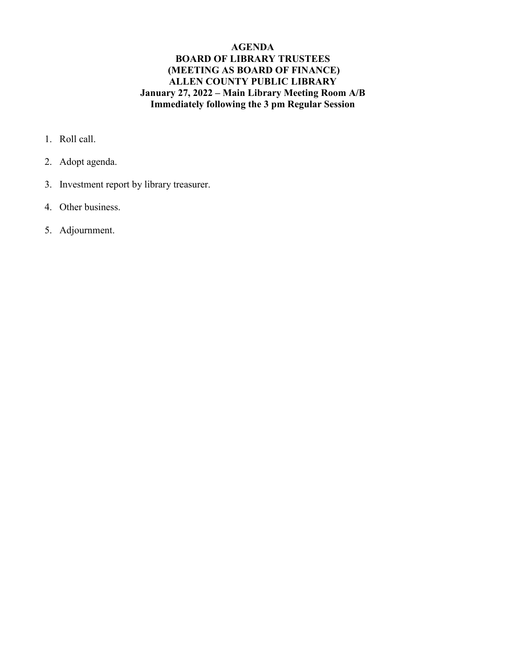## **AGENDA BOARD OF LIBRARY TRUSTEES (MEETING AS BOARD OF FINANCE) ALLEN COUNTY PUBLIC LIBRARY January 27, 2022 – Main Library Meeting Room A/B Immediately following the 3 pm Regular Session**

- 1. Roll call.
- 2. Adopt agenda.
- 3. Investment report by library treasurer.
- 4. Other business.
- 5. Adjournment.